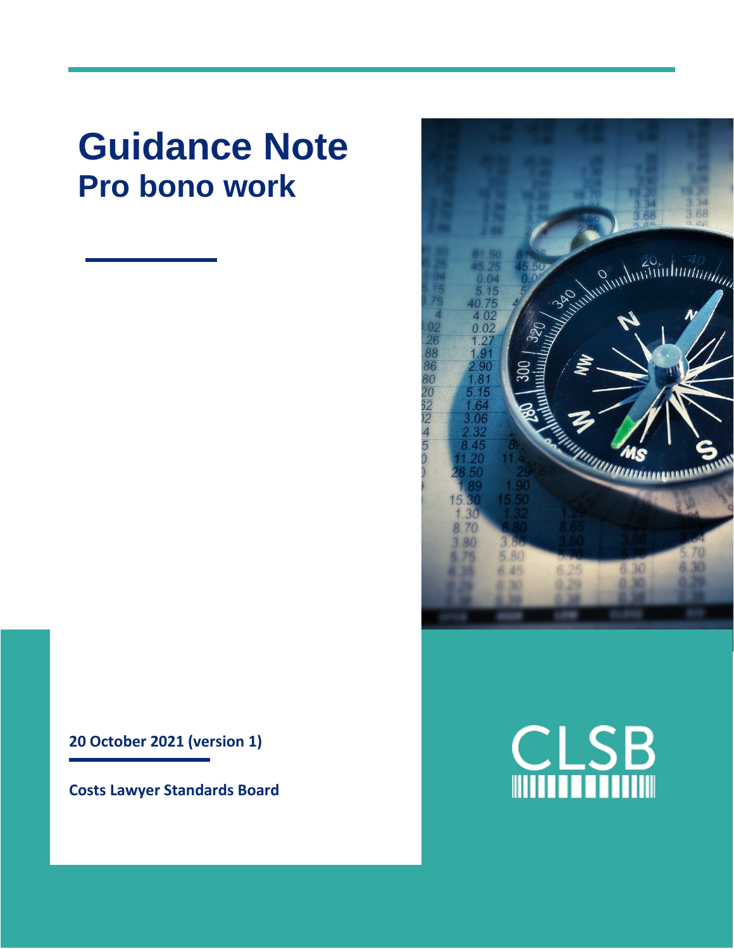# **Guidance Note Pro bono work**

**20 October 2021 (version 1)**

**Costs Lawyer Standards Board**



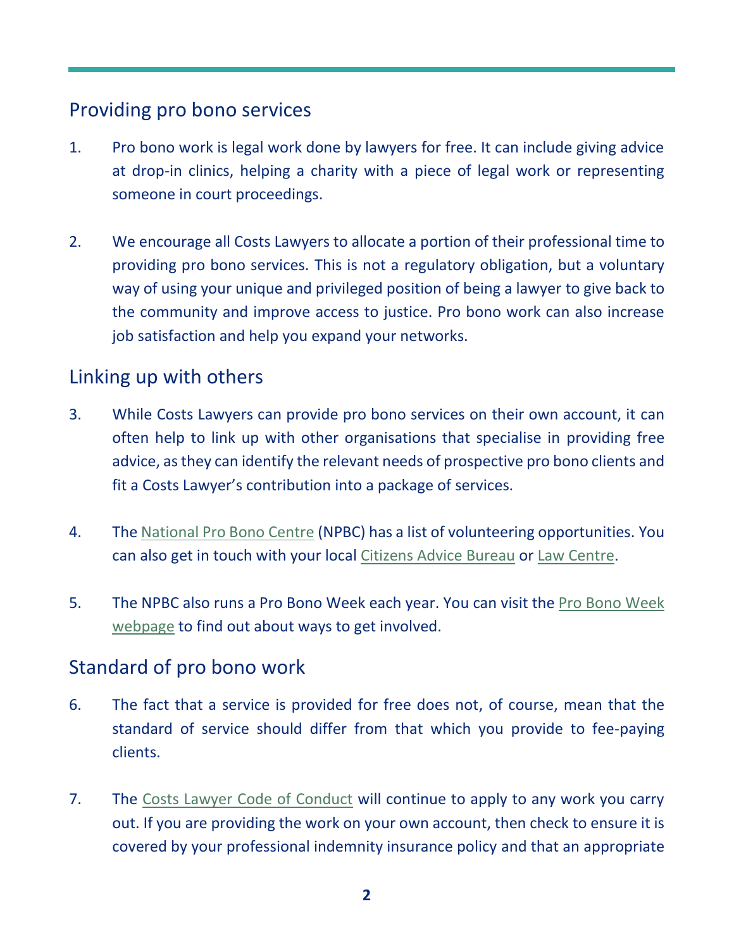## Providing pro bono services

- 1. Pro bono work is legal work done by lawyers for free. It can include giving advice at drop-in clinics, helping a charity with a piece of legal work or representing someone in court proceedings.
- 2. We encourage all Costs Lawyers to allocate a portion of their professional time to providing pro bono services. This is not a regulatory obligation, but a voluntary way of using your unique and privileged position of being a lawyer to give back to the community and improve access to justice. Pro bono work can also increase job satisfaction and help you expand your networks.

### Linking up with others

- 3. While Costs Lawyers can provide pro bono services on their own account, it can often help to link up with other organisations that specialise in providing free advice, as they can identify the relevant needs of prospective pro bono clients and fit a Costs Lawyer's contribution into a package of services.
- 4. The [National Pro Bono Centre](http://www.nationalprobonocentre.org.uk/pro-bono-week/volunteer-portal/) (NPBC) has a list of volunteering opportunities. You can also get in touch with your local [Citizens Advice Bureau](https://www.citizensadvice.org.uk/about-us/support-us/volunteering/) or [Law Centre.](https://www.lawcentres.org.uk/lcn-s-work/volunteer-with-us)
- 5. The NPBC also runs a Pro Bono Week each year. You can visit the [Pro Bono Week](http://probonoweek.org.uk/)  [webpage](http://probonoweek.org.uk/) to find out about ways to get involved.

### Standard of pro bono work

- 6. The fact that a service is provided for free does not, of course, mean that the standard of service should differ from that which you provide to fee-paying clients.
- 7. The [Costs Lawyer Code of Conduct](https://clsb.info/for-costs-lawyers/costs-lawyer-handbook/) will continue to apply to any work you carry out. If you are providing the work on your own account, then check to ensure it is covered by your professional indemnity insurance policy and that an appropriate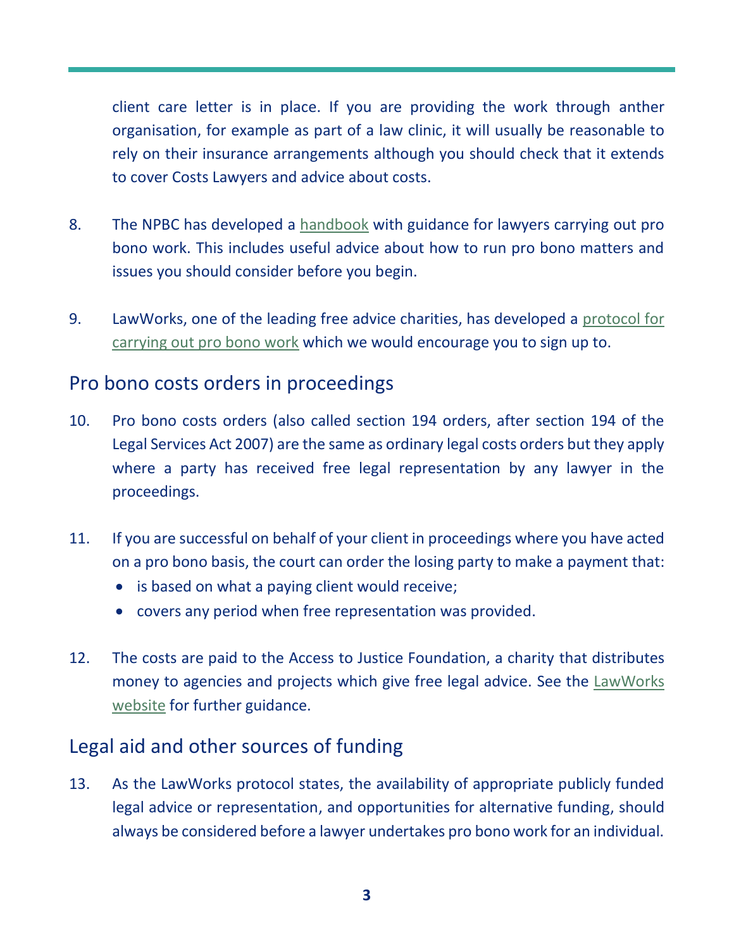client care letter is in place. If you are providing the work through anther organisation, for example as part of a law clinic, it will usually be reasonable to rely on their insurance arrangements although you should check that it extends to cover Costs Lawyers and advice about costs.

- 8. The NPBC has developed a [handbook](https://www.barcouncil.org.uk/resource/probonohandbook-2019-npbc-pdf.html) with guidance for lawyers carrying out pro bono work. This includes useful advice about how to run pro bono matters and issues you should consider before you begin.
- 9. LawWorks, one of the leading free advice charities, has developed a [protocol for](https://www.lawworks.org.uk/why-pro-bono/what-pro-bono/pro-bono-protocol#:~:text=The%20Pro%20Bono%20Protocol%20was%20developed%20to%20promote,requirements%20that%20all%20lawyers%20must%20achieve%20and%20observe.)  [carrying out pro bono work](https://www.lawworks.org.uk/why-pro-bono/what-pro-bono/pro-bono-protocol#:~:text=The%20Pro%20Bono%20Protocol%20was%20developed%20to%20promote,requirements%20that%20all%20lawyers%20must%20achieve%20and%20observe.) which we would encourage you to sign up to.

#### Pro bono costs orders in proceedings

- 10. Pro bono costs orders (also called section 194 orders, after section 194 of the Legal Services Act 2007) are the same as ordinary legal costs orders but they apply where a party has received free legal representation by any lawyer in the proceedings.
- 11. If you are successful on behalf of your client in proceedings where you have acted on a pro bono basis, the court can order the losing party to make a payment that:
	- is based on what a paying client would receive;
	- covers any period when free representation was provided.
- 12. The costs are paid to the Access to Justice Foundation, a charity that distributes money to agencies and projects which give free legal advice. See the [LawWorks](https://www.lawworks.org.uk/why-pro-bono/pro-bono-cost-orders)  [website](https://www.lawworks.org.uk/why-pro-bono/pro-bono-cost-orders) for further guidance.

## Legal aid and other sources of funding

13. As the LawWorks protocol states, the availability of appropriate publicly funded legal advice or representation, and opportunities for alternative funding, should always be considered before a lawyer undertakes pro bono work for an individual.